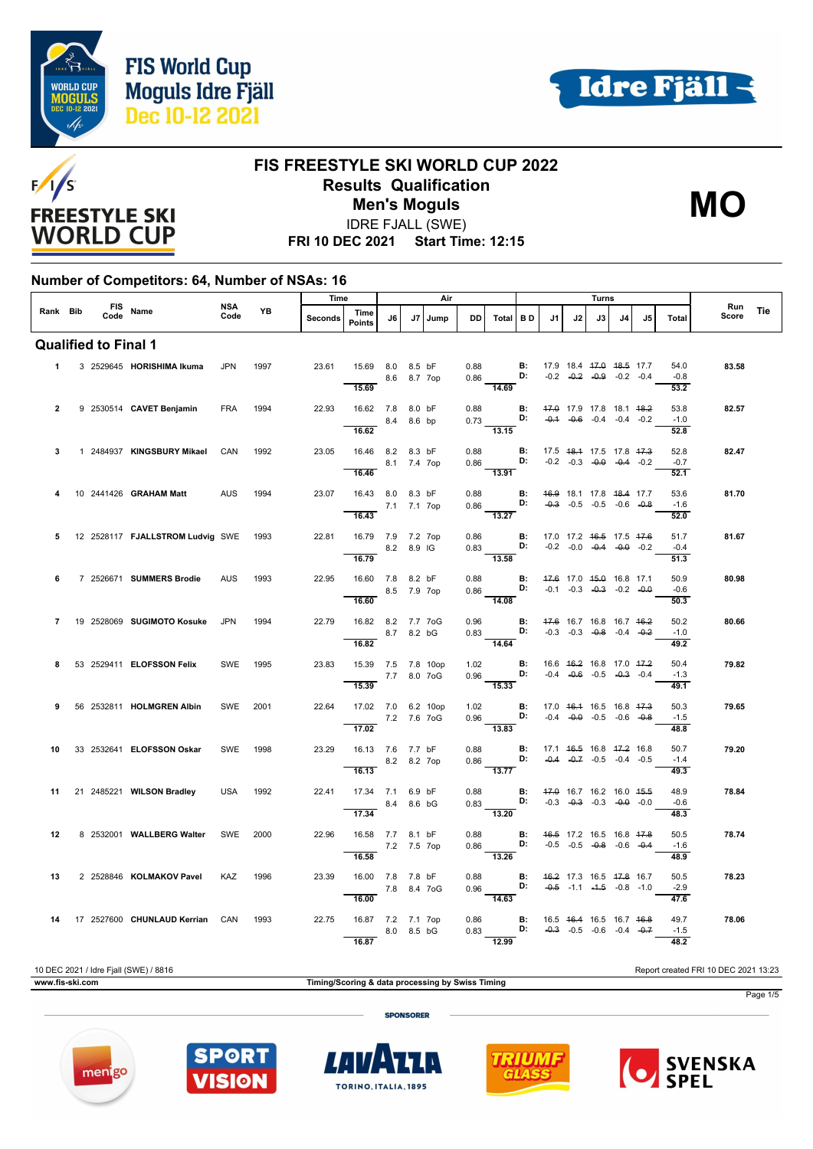







IDRE FJALL (SWE)

**FRI 10 DEC 2021 Start Time: 12:15**

#### **Number of Competitors: 64, Number of NSAs: 16**

|                |  |                                       |             | Time<br>Air |                |                                            |             | Turns |      |              |                                                                                                                                                             |           |                                               |    |                                                                |                |                                    |                        |              |     |
|----------------|--|---------------------------------------|-------------|-------------|----------------|--------------------------------------------|-------------|-------|------|--------------|-------------------------------------------------------------------------------------------------------------------------------------------------------------|-----------|-----------------------------------------------|----|----------------------------------------------------------------|----------------|------------------------------------|------------------------|--------------|-----|
| Rank Bib       |  | FIS Name                              | NSA<br>Code | <b>YB</b>   | <b>Seconds</b> | Time<br><b>Points</b>                      | J6          | J7    | Jump | <b>DD</b>    | Total                                                                                                                                                       | <b>BD</b> | J1                                            | J2 | J3                                                             | J <sub>4</sub> | .15                                | Total                  | Run<br>Score | Tie |
|                |  | <b>Qualified to Final 1</b>           |             |             |                |                                            |             |       |      |              |                                                                                                                                                             |           |                                               |    |                                                                |                |                                    |                        |              |     |
| $\blacksquare$ |  | 3 2529645 HORISHIMA Ikuma             | <b>JPN</b>  | 1997        | 23.61          | 15.69 8.0 8.5 bF<br>15.69                  | 8.6 8.7 7op |       |      | 0.88         | $0.86$ D: $-0.2$ $-0.2$ $-0.9$ $-0.2$ $-0.4$<br>14.69                                                                                                       |           | <b>B:</b> 17.9 18.4 <del>17.0 18.5</del> 17.7 |    |                                                                |                |                                    | 54.0<br>$-0.8$<br>53.2 | 83.58        |     |
| $\overline{2}$ |  | 9 2530514 CAVET Benjamin              | <b>FRA</b>  | 1994        | 22.93          | 16.62 7.8 8.0 bF<br>16.62                  | 8.4 8.6 bp  |       |      |              | 0.88 <b>B:</b> $\frac{47.0}{17.9}$ 17.8 18.1 $\frac{48.2}{0.73}$<br>0.73 <b>D:</b> $\frac{0.4}{0.4}$ $\frac{0.6}{0.6}$ -0.4 -0.4 -0.2<br>$\frac{11}{13.15}$ |           |                                               |    |                                                                |                | $-0.1$ $-0.6$ $-0.4$ $-0.4$ $-0.2$ | 53.8<br>$-1.0$<br>52.8 | 82.57        |     |
| 3              |  | 1 2484937 KINGSBURY Mikael            | CAN         | 1992        | 23.05          | 16.46 8.2 8.3 bF<br>8.1 7.4 7op<br>16.46   |             |       |      | 0.88         | $0.86$ D: $-0.2$ $-0.3$ $-0.0$ $-0.4$ $-0.2$<br>$\overline{13.91}$                                                                                          |           | <b>B:</b> 17.5 48.4 17.5 17.8 47.3            |    |                                                                |                |                                    | 52.8<br>$-0.7$<br>52.1 | 82.47        |     |
| 4              |  | 10 2441426 GRAHAM Matt                | AUS         | 1994        | 23.07          | 16.43 8.0 8.3 bF<br>7.1 7.1 7op<br>16.43   |             |       |      | 0.88         | $0.86$ D:<br>13.27                                                                                                                                          | <b>B:</b> |                                               |    | 46.9 18.1 17.8 48.4 17.7<br>$-0.3$ $-0.5$ $-0.5$ $-0.6$ $-0.8$ |                |                                    | 53.6<br>$-1.6$<br>52.0 | 81.70        |     |
| 5              |  | 12 2528117 FJALLSTROM Ludvig SWE 1993 |             |             | 22.81          | 16.79 7.9 7.2 7op<br>$8.2$ 8.9 IG<br>16.79 |             |       |      | 0.86         | 0.83 <b>D</b> : $-0.2$ -0.0 -0.4 -0.4 -0.2<br>$\overline{13.58}$                                                                                            |           | <b>B:</b> 17.0 17.2 46.5 17.5 47.6            |    |                                                                |                |                                    | 51.7<br>$-0.4$<br>51.3 | 81.67        |     |
| 6              |  | 7 2526671 SUMMERS Brodie              | <b>AUS</b>  | 1993        | 22.95          | 16.60 7.8 8.2 bF<br>8.5 7.9 7op<br>16.60   |             |       |      | 0.88<br>0.86 | <b>D:</b> $-0.1$ $-0.3$ $-0.3$ $-0.3$ $-0.2$ $-0.0$<br>14.08                                                                                                |           | <b>B:</b> 47.6 17.0 45.0 16.8 17.1            |    |                                                                |                |                                    | 50.9<br>$-0.6$<br>50.3 | 80.98        |     |
| $\overline{7}$ |  | 19 2528069 SUGIMOTO Kosuke            | JPN         | 1994        | 22.79          | 16.82 8.2 7.7 7oG<br>8.7 8.2 bG<br>16.82   |             |       |      |              | $0.96$ B:<br>0.83 D:<br>$\overline{14.64}$                                                                                                                  |           | 47.6 16.7 16.8 16.7 46.2                      |    | $-0.3$ $-0.3$ $-0.8$ $-0.4$ $-0.2$                             |                |                                    | 50.2<br>$-1.0$<br>49.2 | 80.66        |     |
| 8              |  | 53 2529411 ELOFSSON Felix             | SWE         | 1995        | 23.83          | 15.39 7.5 7.8 10op<br>7.7 8.0 7oG<br>15.39 |             |       |      |              | 1.02 <b>B</b> : 16.6 46.2 16.8 17.0 47.2<br>0.96 <b>D:</b> -0.4 -0.6 -0.5 -0.3 -0.4<br>$\overline{15.33}$                                                   |           |                                               |    |                                                                |                |                                    | 50.4<br>$-1.3$<br>49.1 | 79.82        |     |
| 9              |  | 56 2532811 HOLMGREN Albin             | SWE         | 2001        | 22.64          | 17.02 7.0 6.2 10op<br>7.2 7.6 7oG<br>17.02 |             |       |      |              | 1.02 <b>B</b> : 17.0 46.4 16.5 16.8 47.3<br>0.96 <b>D:</b> -0.4 -0.0 -0.5 -0.6 -0.8<br>$-13.83$                                                             |           |                                               |    |                                                                |                |                                    | 50.3<br>$-1.5$<br>48.8 | 79.65        |     |
| 10             |  | 33 2532641 ELOFSSON Oskar             | SWE         | 1998        | 23.29          | 16.13 7.6 7.7 bF<br>8.2 8.2 7op<br>16.13   |             |       |      | 0.88         | $0.86$ D: $-0.4$ $-0.7$ $-0.5$ $-0.4$ $-0.5$<br>13.77                                                                                                       |           | <b>B:</b> 17.1 46.5 16.8 47.2 16.8            |    |                                                                |                |                                    | 50.7<br>$-1.4$<br>49.3 | 79.20        |     |
| 11             |  | 21 2485221 WILSON Bradley             | <b>USA</b>  | 1992        | 22.41          | 17.34 7.1 6.9 bF<br>17.34                  | 8.4 8.6 bG  |       |      | 0.88         | $0.83$ D:<br>$\overline{13.20}$                                                                                                                             | <b>B:</b> |                                               |    | 47.0 16.7 16.2 16.0 45.5<br>$-0.3$ $-0.3$ $-0.3$ $-0.0$ $-0.0$ |                |                                    | 48.9<br>$-0.6$<br>48.3 | 78.84        |     |
| 12             |  | 8 2532001 WALLBERG Walter             | SWE         | 2000        | 22.96          | 16.58 7.7 8.1 bF<br>7.2 7.5 7op<br>16.58   |             |       |      | 0.88         | $0.86$ D: $-0.5$ $-0.5$ $-0.8$ $-0.6$ $-0.4$<br>13.26                                                                                                       | B:        | 46.5 17.2 16.5 16.8 47.8                      |    |                                                                |                |                                    | 50.5<br>$-1.6$<br>48.9 | 78.74        |     |
| 13             |  | 2 2528846 KOLMAKOV Pavel              | KAZ         | 1996        | 23.39          | 16.00 7.8 7.8 bF<br>7.8 8.4 7 o G<br>16.00 |             |       |      |              | 0.88 <b>B:</b> $\frac{46.2}{-0.5}$ 17.3 10.5 <del>17.6</del> 1.0.6<br>0.96 <b>B:</b> $\frac{46.2}{-0.5}$ 1.1 $\frac{4}{-1.5}$ -0.8 -1.0                     |           |                                               |    |                                                                |                |                                    | 50.5<br>$-2.9$<br>47.6 | 78.23        |     |
| 14             |  | 17 2527600 CHUNLAUD Kerrian CAN       |             | 1993        | 22.75          | 16.87 7.2 7.1 7op<br>16.87                 | 8.0 8.5 bG  |       |      | 0.86<br>0.83 | <b>D:</b> $-0.3$ $-0.5$ $-0.6$ $-0.4$ $-0.7$<br>$-12.99$                                                                                                    |           | <b>B:</b> 16.5 46.4 16.5 16.7 46.8            |    |                                                                |                |                                    | 49.7<br>$-1.5$<br>48.2 | 78.06        |     |
|                |  |                                       |             |             |                |                                            |             |       |      |              |                                                                                                                                                             |           |                                               |    |                                                                |                |                                    |                        |              |     |

10 DEC 2021 / Idre Fjall (SWE) / 8816 Report created FRI 10 DEC 2021 13:23

**www.fis-ski.com Timing/Scoring & data processing by Swiss Timing**



**SPONSORER** 









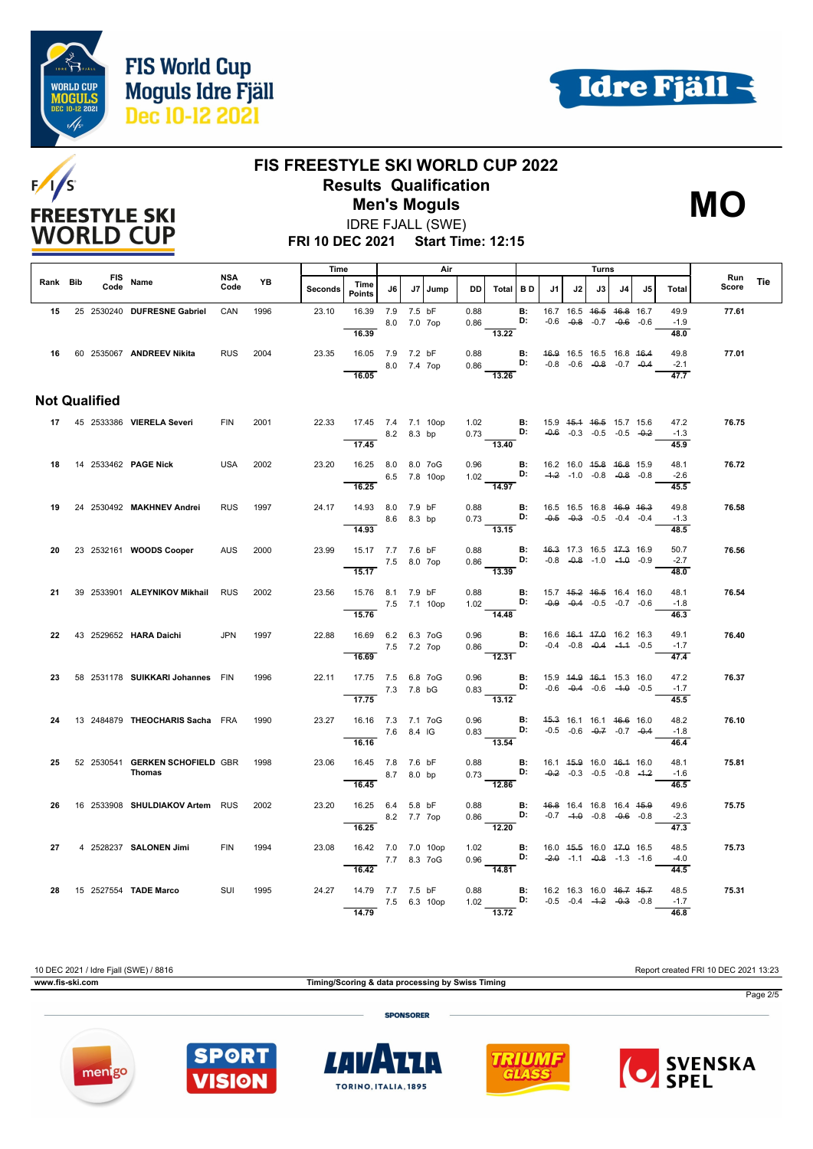





#### **FIS FREESTYLE SKI WORLD CUP 2022 Results Qualification** IDRE FJALL (SWE) **Men's Moguls MO**



**FRI 10 DEC 2021 Start Time: 12:15**

|          |                      |                                  | Air<br>Time        |      |         |                                             |             |             | Turns        |              |                                                                                                                        |                      |                                                                   |    |    |                                                                |    |                        |                     |     |
|----------|----------------------|----------------------------------|--------------------|------|---------|---------------------------------------------|-------------|-------------|--------------|--------------|------------------------------------------------------------------------------------------------------------------------|----------------------|-------------------------------------------------------------------|----|----|----------------------------------------------------------------|----|------------------------|---------------------|-----|
| Rank Bib | Code                 | FIS Name                         | <b>NSA</b><br>Code | YB   | Seconds | Time<br><b>Points</b>                       | J6          |             | J7 Jump      | DD.          | Total BD                                                                                                               |                      | .11                                                               | J2 | J3 | J <sub>4</sub>                                                 | J5 | Total                  | <b>Run</b><br>Score | Tie |
| 15       |                      | 25 2530240 DUFRESNE Gabriel      | CAN                | 1996 | 23.10   | 16.39<br>16.39                              | 7.9 7.5 bF  | 8.0 7.0 7op |              | 0.88<br>0.86 | 13.22                                                                                                                  | B:<br>D:             |                                                                   |    |    | 16.7 16.5 46.5 46.8 16.7<br>$-0.6$ $-0.8$ $-0.7$ $-0.6$ $-0.6$ |    | 49.9<br>$-1.9$<br>48.0 | 77.61               |     |
|          |                      | 16 60 2535067 ANDREEV Nikita     | <b>RUS</b>         | 2004 | 23.35   | 16.05 7.9 7.2 bF<br>16.05                   |             | 8.0 7.4 7op |              | 0.88         | 0.86 <b>D:</b> $-0.8$ $-0.6$ $-0.8$ $-0.7$ $-0.4$<br>13.26                                                             |                      | <b>B:</b> 46.9 16.5 16.5 16.8 46.4                                |    |    |                                                                |    | 49.8<br>$-2.1$<br>47.7 | 77.01               |     |
|          | <b>Not Qualified</b> |                                  |                    |      |         |                                             |             |             |              |              |                                                                                                                        |                      |                                                                   |    |    |                                                                |    |                        |                     |     |
|          |                      | 17 45 2533386 VIERELA Severi     | <b>FIN</b>         | 2001 | 22.33   | 17.45 7.4 7.1 10op<br>8.2 8.3 bp            |             |             |              |              | 1.02 <b>B:</b> 15.9 45.4 46.5 15.7 15.6 0.73 <b>D:</b> $-0.6$ -0.3 -0.5 -0.5 -0.2                                      |                      |                                                                   |    |    |                                                                |    | 47.2<br>$-1.3$         | 76.75               |     |
|          |                      | 18 14 2533462 PAGE Nick          | USA                | 2002 | 23.20   | 17.45<br>16.25 8.0 8.0 7oG                  |             |             |              | 0.96         |                                                                                                                        | $\mathbf{B}$ :       | 16.2 16.0 45.8 46.8 15.9                                          |    |    |                                                                |    | 45.9<br>48.1           | 76.72               |     |
|          |                      |                                  |                    |      |         | 16.25                                       |             |             | 6.5 7.8 10op |              | 1.02 <b>D</b> :<br>$\frac{1}{14.97}$                                                                                   |                      |                                                                   |    |    | $-4.2$ $-1.0$ $-0.8$ $-0.8$ $-0.8$                             |    | $-2.6$<br>45.5         |                     |     |
| 19       |                      | 24 2530492 MAKHNEV Andrei        | <b>RUS</b>         | 1997 | 24.17   | 14.93 8.0 7.9 bF<br>8.6 8.3 bp              |             |             |              |              | 0.88 <b>B</b> : 16.5 16.5 16.8 <del>16.9 16.3</del><br>0.73 <b>D:</b> -0.5 -0.3 -0.5 -0.4 -0.4                         |                      |                                                                   |    |    |                                                                |    | 49.8<br>$-1.3$         | 76.58               |     |
| 20       |                      | 23 2532161 WOODS Cooper          | <b>AUS</b>         | 2000 | 23.99   | 14.93<br>15.17 7.7 7.6 bF                   |             |             |              |              | $\overline{13.15}$<br>$0.88$ <b>B:</b><br>0.86 <b>D:</b>                                                               |                      | 46.3 17.3 16.5 47.3 16.9                                          |    |    |                                                                |    | 48.5<br>50.7           | 76.56               |     |
|          |                      |                                  |                    |      |         | 7.5 8.0 7op<br>15.17                        |             |             |              |              | $\frac{113.39}{13.39}$                                                                                                 |                      |                                                                   |    |    | $-0.8$ $-0.8$ $-1.0$ $-4.0$ $-0.9$                             |    | $-2.7$<br>48.0         |                     |     |
| 21       |                      | 39 2533901 ALEYNIKOV Mikhail     | <b>RUS</b>         | 2002 | 23.56   | 15.76 8.1 7.9 bF<br>7.5 7.1 10op<br>15.76   |             |             |              |              | 0.88 <b>B:</b> 15.7 4 <del>5.2</del> 46.5 16.4 16.0<br>1.02 <b>D:</b> -0.9 -0.4 -0.5 -0.7 -0.6<br>$\frac{1.02}{14.48}$ |                      |                                                                   |    |    |                                                                |    | 48.1<br>$-1.8$<br>46.3 | 76.54               |     |
| 22       |                      | 43 2529652 HARA Daichi           | <b>JPN</b>         | 1997 | 22.88   | 16.69 6.2 6.3 7oG                           |             |             |              | 0.96         | $0.86$ D:                                                                                                              | $\blacksquare$       | 16.6 46.4 47.0 16.2 16.3                                          |    |    | $-0.4$ $-0.8$ $-0.4$ $-4.4$ $-0.5$                             |    | 49.1<br>$-1.7$         | 76.40               |     |
|          |                      |                                  |                    |      |         | 16.69                                       | 7.5 7.2 7op |             |              |              | 12.31                                                                                                                  |                      |                                                                   |    |    |                                                                |    | 47.4                   |                     |     |
| 23       |                      | 58 2531178 SUIKKARI Johannes FIN |                    | 1996 | 22.11   | 17.75 7.5 6.8 7oG<br>$-7.3$ 7.8 bG<br>17.75 |             |             |              | 0.96         | 0.83<br>$\overline{13.12}$                                                                                             | B:                   | 15.9 44.9 46.4 15.3 16.0<br>D: $-0.6$ $-0.4$ $-0.6$ $-4.0$ $-0.5$ |    |    |                                                                |    | 47.2<br>$-1.7$<br>45.5 | 76.37               |     |
| 24       |                      | 13 2484879 THEOCHARIS Sacha FRA  |                    | 1990 | 23.27   | 16.16 7.3 7.1 7oG                           | 7.6 8.4 IG  |             |              | 0.96         | 0.83                                                                                                                   | $\mathbf{B}$ :<br>D: | 45.3 16.1 16.1 46.6 16.0                                          |    |    | $-0.5$ $-0.6$ $-0.7$ $-0.4$                                    |    | 48.2<br>$-1.8$         | 76.10               |     |
| 25       |                      | 52 2530541 GERKEN SCHOFIELD GBR  |                    | 1998 | 23.06   | 16.16<br>16.45 7.8 7.6 bF                   |             |             |              |              | 13.54                                                                                                                  |                      | 16.1 4 <del>5.9</del> 16.0 46.4 16.0                              |    |    |                                                                |    | 46.4<br>48.1           | 75.81               |     |
|          |                      | Thomas                           |                    |      |         | 16.45                                       |             | 8.7 8.0 bp  |              |              | 0.88 <b>B:</b><br>0.73 <b>D:</b><br>12.86                                                                              |                      |                                                                   |    |    | $-0.2$ $-0.3$ $-0.5$ $-0.8$ $-1.2$                             |    | $-1.6$<br>46.5         |                     |     |
| 26       |                      | 16 2533908 SHULDIAKOV Artem RUS  |                    | 2002 | 23.20   | 16.25 6.4 5.8 bF                            |             | 8.2 7.7 7op |              |              | 0.88 <b>B:</b> 46.8 16.4 16.8 16.4 45.9<br>$0.86$ D:<br>$\frac{0.05}{12.20}$                                           |                      |                                                                   |    |    | $-0.7$ $-4.0$ $-0.8$ $-0.6$ $-0.8$                             |    | 49.6<br>$-2.3$         | 75.75               |     |
| 27       |                      | 4 2528237 SALONEN Jimi           | <b>FIN</b>         | 1994 | 23.08   | 16.25<br>16.42 7.0 7.0 10op                 |             |             |              |              | 1.02 <b>B:</b><br>0.96 <b>D:</b>                                                                                       |                      | 16.0 45.5 16.0 47.0 16.5                                          |    |    |                                                                |    | 47.3<br>48.5           | 75.73               |     |
|          |                      |                                  |                    |      |         | 7.7 8.3 7 o G<br>16.42                      |             |             |              |              | 14.81                                                                                                                  |                      |                                                                   |    |    | $-2.0$ $-1.1$ $-0.8$ $-1.3$ $-1.6$                             |    | $-4.0$<br>44.5         |                     |     |
| 28       |                      | 15 2527554 TADE Marco            | <b>SUI</b>         | 1995 | 24.27   | 14.79 7.7 7.5 bF<br>7.5 6.3 10op<br>14.79   |             |             |              | 0.88         | 1.02 <b>D:</b> $-0.5$ $-0.4$ $-4.2$ $-0.3$ $-0.8$<br>$\overline{13.72}$                                                |                      | <b>B:</b> 16.2 16.3 16.0 46.7 45.7                                |    |    |                                                                |    | 48.5<br>$-1.7$<br>46.8 | 75.31               |     |

10 DEC 2021 / Idre Fjall (SWE) / 8816 Report created FRI 10 DEC 2021 13:23

**www.fis-ski.com Timing/Scoring & data processing by Swiss Timing**

Page 2/5

**SPONSORER** 









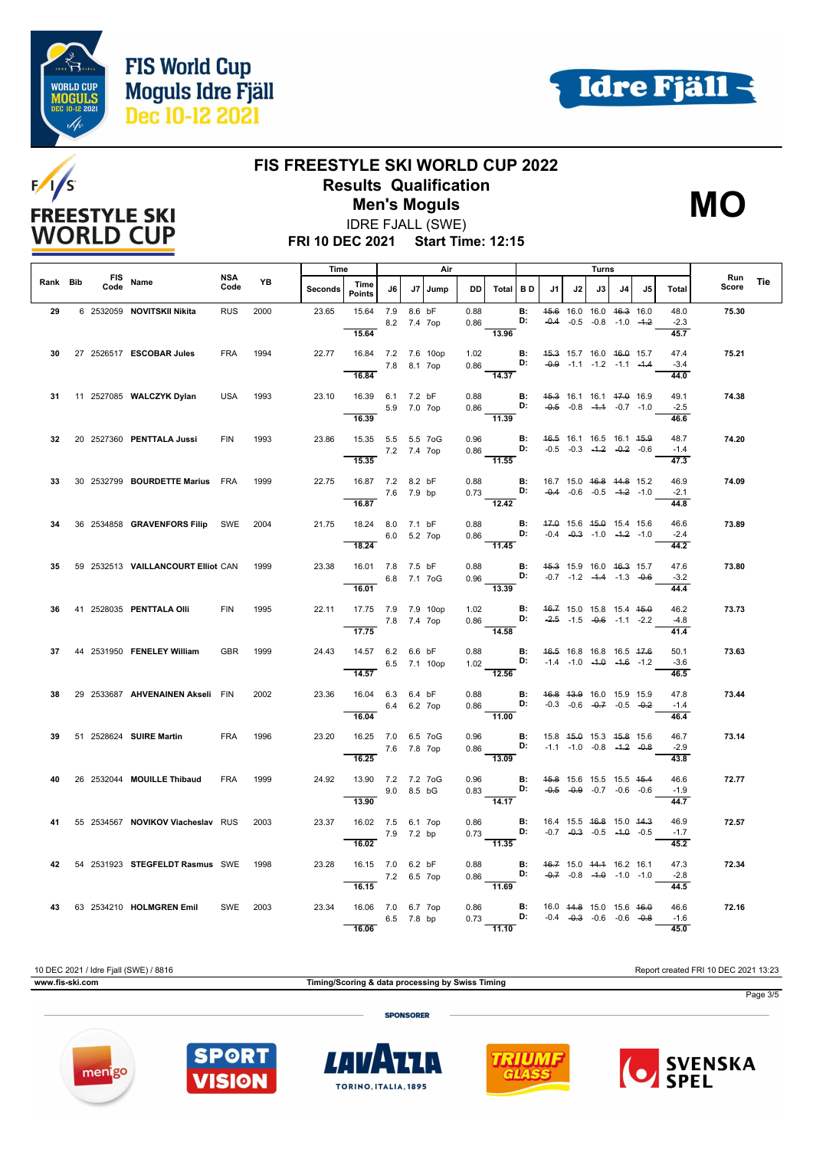







**FRI 10 DEC 2021 Start Time: 12:15** IDRE FJALL (SWE)

|          |      |                                          |             |      | Time    |                                                      |                           | Air |         |              | Turns                                                                                                                |                 |                                                                                        |    |    |                                                                                      |     |                                     |              |            |
|----------|------|------------------------------------------|-------------|------|---------|------------------------------------------------------|---------------------------|-----|---------|--------------|----------------------------------------------------------------------------------------------------------------------|-----------------|----------------------------------------------------------------------------------------|----|----|--------------------------------------------------------------------------------------|-----|-------------------------------------|--------------|------------|
| Rank Bib | Code | FIS Name                                 | NSA<br>Code | YB   | Seconds | Time<br><b>Points</b>                                | J6                        |     | J7 Jump | <b>DD</b>    | Total BD                                                                                                             |                 | J1                                                                                     | J2 | J3 | J4                                                                                   | .15 | Total                               | Run<br>Score | <b>Tie</b> |
| 29       |      | 6 2532059 NOVITSKII Nikita               | <b>RUS</b>  | 2000 | 23.65   | 15.64<br>15.64                                       | 7.9 8.6 bF<br>8.2 7.4 7op |     |         | 0.88         | 0.86<br>13.96                                                                                                        | <b>B:</b><br>D: |                                                                                        |    |    | 45.6 16.0 16.0 46.3 16.0<br>$-0.4$ $-0.5$ $-0.8$ $-1.0$ $-4.2$                       |     | 48.0<br>$-2.3$<br>45.7              | 75.30        |            |
| 30       |      | 27 2526517 ESCOBAR Jules                 | <b>FRA</b>  | 1994 | 22.77   | 16.84 7.2 7.6 10op<br>16.84                          | 7.8 8.1 7op               |     |         | 1.02         | 0.86 D: $-0.9$ -1.1 -1.2 -1.1 -1.4<br>$\overline{14.37}$                                                             |                 | <b>B:</b> 45.3 15.7 16.0 46.0 15.7                                                     |    |    |                                                                                      |     | 47.4<br>$-3.4$<br>44.0              | 75.21        |            |
|          |      | 31 11 2527085 WALCZYK Dylan              | <b>USA</b>  | 1993 | 23.10   | 16.39 6.1 7.2 bF                                     | 5.9 7.0 7op               |     |         | 0.88<br>0.86 |                                                                                                                      | B:<br>D:        | 45.3 16.1 16.1 47.0 16.9                                                               |    |    | $-0.5$ $-0.8$ $-4.4$ $-0.7$ $-1.0$                                                   |     | 49.1<br>$-2.5$                      | 74.38        |            |
| 32       |      | 20 2527360 PENTTALA Jussi                | <b>FIN</b>  | 1993 | 23.86   | 16.39<br>15.35  5.5  5.5  7oG<br>7.2 7.4 7op         |                           |     |         | 0.96         | 11.39<br>$0.86$ D: $-0.5$ $-0.3$ $-1.2$ $-0.2$ $-0.6$                                                                |                 | <b>B:</b> 46.5 16.1 16.5 16.1 45.9                                                     |    |    |                                                                                      |     | 46.6<br>48.7<br>$-1.4$              | 74.20        |            |
| 33       |      | 30 2532799 BOURDETTE Marius FRA          |             | 1999 | 22.75   | 15.35<br>16.87 7.2 8.2 bF                            | 7.6 7.9 bp                |     |         | 0.88         | $-11.55$<br>0.73 D: $-0.4$ $-0.6$ $-0.5$ $-4.2$ $-1.0$                                                               |                 | <b>B:</b> 16.7 15.0 <del>16.8</del> 14.8 15.2                                          |    |    |                                                                                      |     | $\overline{47.3}$<br>46.9<br>$-2.1$ | 74.09        |            |
| 34       |      | 36  2534858  GRAVENFORS Filip  SWE  2004 |             |      | 21.75   | 16.87<br>18.24 8.0 7.1 bF                            | 6.0 5.2 7op               |     |         |              | $\overline{12.42}$<br>0.88 <b>B</b> : 47.0 15.6 45.0 15.4 15.6<br>0.86 <b>D:</b> -0.4 -0.3 -1.0 -4.2 -1.0            |                 |                                                                                        |    |    |                                                                                      |     | 44.8<br>46.6<br>$-2.4$              | 73.89        |            |
| 35.      |      | 59 2532513 VAILLANCOURT Elliot CAN 1999  |             |      | 23.38   | 18.24<br>16.01 7.8 7.5 bF<br>6.8 7.1 7oG             |                           |     |         |              | $\overline{11.45}$<br>0.88 <b>B:</b> 45.3 15.9 16.0 46.3 15.7<br>0.96 <b>D:</b> $-0.7$ $-1.2$ $-4.4$ $-1.3$ $-0.6$   |                 |                                                                                        |    |    |                                                                                      |     | 44.2<br>47.6<br>$-3.2$              | 73.80        |            |
|          |      | 36 41 2528035 PENTTALA OIII              | <b>FIN</b>  | 1995 | 22.11   | 16.01<br>17.75 7.9 7.9 10op                          |                           |     |         |              | 13.39<br>1.02 <b>B:</b> $46.7$ 15.0 15.8 15.4 $45.0$<br>0.86 <b>D:</b> $-2.5$ -1.5 -0.6 1.4 0.6                      |                 |                                                                                        |    |    |                                                                                      |     | 44.4<br>46.2                        | 73.73        |            |
| 37       |      | 44 2531950 FENELEY William               | <b>GBR</b>  | 1999 | 24.43   | 7.8 7.4 7op<br>17.75<br>14.57 6.2 6.6 bF             |                           |     |         | 0.88         | 14.58                                                                                                                |                 | <b>B:</b> 46.5 16.8 16.8 16.5 47.6                                                     |    |    |                                                                                      |     | -4.8<br>41.4<br>50.1                | 73.63        |            |
| 38.      |      | 29 2533687 AHVENAINEN Akseli FIN         |             | 2002 | 23.36   | $6.5$ 7.1 10op<br>14.57<br>16.04  6.3  6.4  bF       |                           |     |         |              | 1.02<br>$\overline{12.56}$<br>0.88 <b>B:</b> 46.8 43.9 16.0 15.9 15.9                                                |                 | <b>D:</b> $-1.4$ $-1.0$ $-4.0$ $-4.6$ $-1.2$                                           |    |    |                                                                                      |     | $-3.6$<br>46.5<br>47.8              | 73.44        |            |
|          |      |                                          |             |      |         | 16.04                                                | 6.4 6.2 7op               |     |         |              | $0.86$ D: $-0.3$ $-0.6$ $-0.7$ $-0.5$ $-0.2$<br>$-11.00$                                                             |                 |                                                                                        |    |    |                                                                                      |     | $-1.4$<br>46.4                      |              |            |
|          |      | 39 51 2528624 SUIRE Martin               | <b>FRA</b>  | 1996 | 23.20   | 16.25 7.0 6.5 7oG<br>7.6 7.8 7op<br>16.25            |                           |     |         |              | 0.96 <b>B</b> : 15.8 45.0 15.3 45.8 15.6<br>0.86 <b>D:</b> -1.1 -1.0 -0.8 -4. <del>2</del> -0.8<br>$\frac{1}{13.09}$ |                 |                                                                                        |    |    |                                                                                      |     | 46.7<br>$-2.9$<br>43.8              | 73.14        |            |
| 40       |      | 26 2532044 MOUILLE Thibaud               | <b>FRA</b>  | 1999 | 24.92   | 13.90 7.2 7.2 7oG<br>9.0 8.5 bG<br>13.90             |                           |     |         | 0.96         | 0.83 D: $-0.5$ $-0.9$ $-0.7$ $-0.6$ $-0.6$<br>14.17                                                                  |                 | <b>B:</b> 45.8 15.6 15.5 15.5 45.4                                                     |    |    |                                                                                      |     | 46.6<br>$-1.9$<br>44.7              | 72.77        |            |
| 41       |      | 55 2534567 NOVIKOV Viacheslav RUS        |             | 2003 | 23.37   | 16.02 7.5 6.1 7op<br>16.02                           | 7.9 7.2 bp                |     |         | 0.86         | $0.73$ D:<br>$\frac{0.75}{11.35}$                                                                                    | B:              |                                                                                        |    |    | 16.4 15.5 <del>16.8</del> 15.0 <del>14.3</del><br>$-0.7$ $-0.3$ $-0.5$ $-4.0$ $-0.5$ |     | 46.9<br>$-1.7$<br>45.2              | 72.57        |            |
|          |      | 42 54 2531923 STEGFELDT Rasmus SWE 1998  |             |      | 23.28   | 16.15 7.0 6.2 bF<br>$7.2\quad 6.5\quad7$ op<br>16.15 |                           |     |         | 0.88         | $\frac{1}{11.69}$                                                                                                    |                 | <b>B:</b> 46.7 15.0 44.4 16.2 16.1<br><b>D:</b> $-0.7$ $-0.8$ $-4.0$ $-1.0$ $-1.0$     |    |    |                                                                                      |     | 47.3<br>$-2.8$<br>44.5              | 72.34        |            |
|          |      | 43 63 2534210 HOLMGREN Emil SWE 2003     |             |      | 23.34   | 16.06 7.0 6.7 7op<br>16.06                           | 6.5 7.8 bp                |     |         |              | 0.86<br>0.73<br>$\overline{11.10}$                                                                                   |                 | <b>B:</b> 16.0 $44.8$ 15.0 15.6 $46.0$<br><b>D:</b> $-0.4$ $-0.3$ $-0.6$ $-0.6$ $-0.8$ |    |    |                                                                                      |     | 46.6<br>$-1.6$<br>45.0              | 72.16        |            |

10 DEC 2021 / Idre Fjall (SWE) / 8816 Report created FRI 10 DEC 2021 13:23 **www.fis-ski.com Timing/Scoring & data processing by Swiss Timing** Page 3/5 **SPONSORER** 









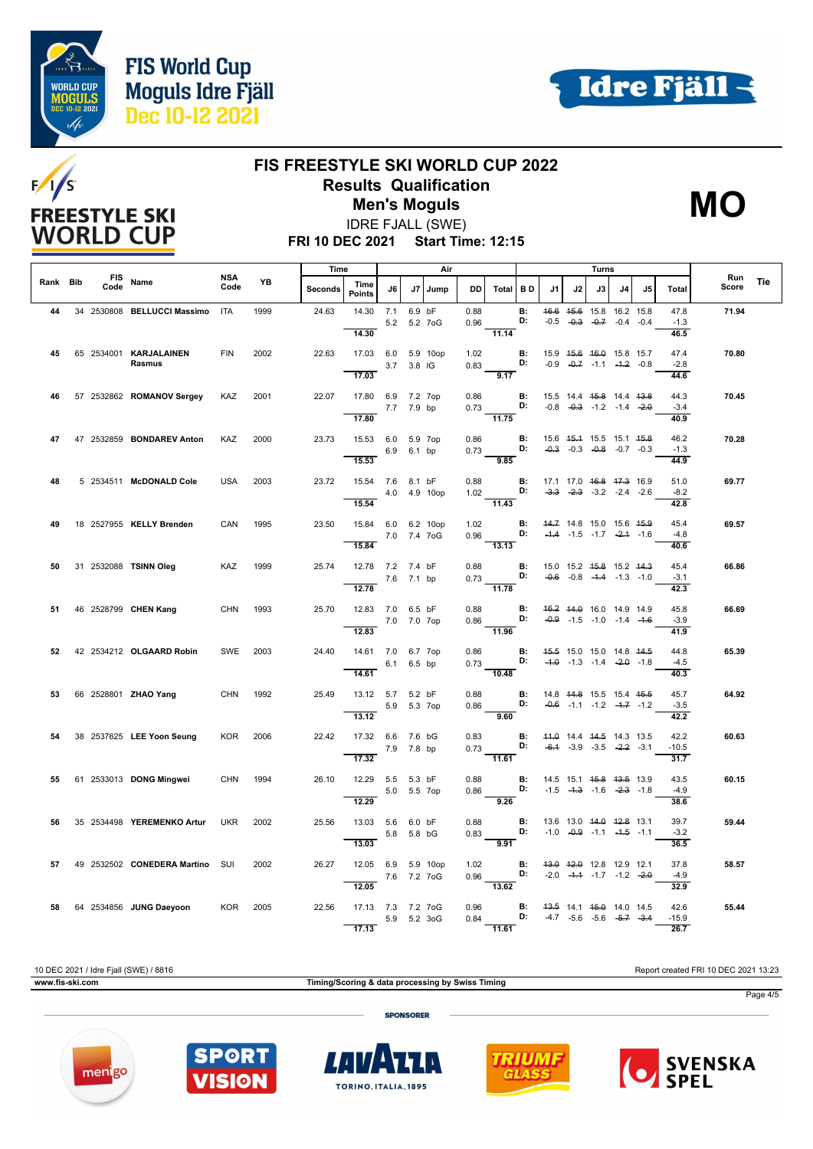







**FRI 10 DEC 2021 Start Time: 12:15** IDRE FJALL (SWE)

|          |      |                                  |                    |      | Time           |                             |             | Air        |              |              | Turns                                                        |                 |                                                |    |    |                                                                                      |     |                         |              |            |
|----------|------|----------------------------------|--------------------|------|----------------|-----------------------------|-------------|------------|--------------|--------------|--------------------------------------------------------------|-----------------|------------------------------------------------|----|----|--------------------------------------------------------------------------------------|-----|-------------------------|--------------|------------|
| Rank Bib | Code | FIS Name                         | <b>NSA</b><br>Code | YB   | <b>Seconds</b> | Time<br><b>Points</b>       | J6          |            | J7 Jump      | <b>DD</b>    | Total BD                                                     |                 | J1                                             | J2 | J3 | J4                                                                                   | .15 | <b>Total</b>            | Run<br>Score | <b>Tie</b> |
| 44       |      | 34 2530808 BELLUCCI Massimo ITA  |                    | 1999 | 24.63          | 14.30<br>14.30              | 7.1         | 6.9 bF     | 5.2 5.2 7 oG | 0.88<br>0.96 | 11.14                                                        | <b>B:</b><br>D: |                                                |    |    | 46.6 45.6 15.8 16.2 15.8<br>$-0.5$ $-0.3$ $-0.7$ $-0.4$ $-0.4$                       |     | 47.8<br>$-1.3$<br>46.5  | 71.94        |            |
| 45       |      | 65 2534001 KARJALAINEN<br>Rasmus | <b>FIN</b>         | 2002 | 22.63          | 17.03 6.0 5.9 10op<br>17.03 |             | 3.7 3.8 IG |              | 1.02<br>0.83 | $\overline{9.17}$                                            | <b>B:</b><br>D: |                                                |    |    | 15.9 45.6 46.0 15.8 15.7<br>$-0.9$ $-0.7$ $-1.1$ $-1.2$ $-0.8$                       |     | 47.4<br>$-2.8$<br>44.6  | 70.80        |            |
| 46       |      | 57 2532862 ROMANOV Sergey        | KAZ                | 2001 | 22.07          | 17.80 6.9 7.2 7op<br>17.80  | 7.7 7.9 bp  |            |              | 0.86<br>0.73 | $\frac{1}{11.75}$                                            | <b>B:</b><br>D: |                                                |    |    | 15.5 14.4 <del>15.8</del> 14.4 <del>13.8</del><br>$-0.8$ $-0.3$ $-1.2$ $-1.4$ $-2.0$ |     | 44.3<br>$-3.4$<br>40.9  | 70.45        |            |
| 47       |      | 47 2532859 BONDAREV Anton        | KAZ                | 2000 | 23.73          | 15.53 6.0 5.9 7op<br>15.53  | 6.9 6.1 bp  |            |              | 0.86         | $0.73$ D:<br>9.85                                            | B:              |                                                |    |    | 15.6 45.4 15.5 15.1 45.8<br>$-0.3$ $-0.3$ $-0.8$ $-0.7$ $-0.3$                       |     | 46.2<br>$-1.3$<br>44.9  | 70.28        |            |
| 48       |      | 5 2534511 McDONALD Cole          | <b>USA</b>         | 2003 | 23.72          | 15.54 7.6 8.1 bF<br>15.54   |             |            | 4.0 4.9 10op | 0.88<br>1.02 | 11.43                                                        | B:<br>D:        | 17.1 17.0 46.8 47.3 16.9                       |    |    | $-3.3$ $-2.3$ $-3.2$ $-2.4$ $-2.6$                                                   |     | 51.0<br>$-8.2$<br>42.8  | 69.77        |            |
| 49       |      | 18 2527955 KELLY Brenden         | CAN                | 1995 | 23.50          | 15.84 6.0 6.2 10op<br>15.84 |             |            | 7.0 7.4 7oG  |              | 1.02 <b>B:</b><br>0.96 <b>D:</b><br>$\overline{13.13}$       |                 | 44.7 14.8 15.0 15.6 45.9                       |    |    | $-4.4$ $-1.5$ $-1.7$ $-2.4$ $-1.6$                                                   |     | 45.4<br>$-4.8$<br>40.6  | 69.57        |            |
| 50       |      | 31 2532088 TSINN Oleg            | <b>KAZ</b>         | 1999 | 25.74          | 12.78 7.2 7.4 bF<br>12.78   | 7.6 7.1 bp  |            |              | 0.88         | $0.73$ <b>D:</b> $-0.6$ $-0.8$ $-4.4$ $-1.3$ $-1.0$<br>11.78 |                 | <b>B:</b> 15.0 15.2 4 <del>5.8</del> 15.2 44.3 |    |    |                                                                                      |     | 45.4<br>$-3.1$<br>42.3  | 66.86        |            |
| 51       |      | 46 2528799 CHEN Kang             | <b>CHN</b>         | 1993 | 25.70          | 12.83 7.0 6.5 bF<br>12.83   | 7.0 7.0 7op |            |              | 0.88<br>0.86 | D:<br>$\overline{11.96}$                                     | <b>B:</b>       |                                                |    |    | 46.2 44.0 16.0 14.9 14.9<br>$-0.9$ $-1.5$ $-1.0$ $-1.4$ $-4.6$                       |     | 45.8<br>$-3.9$<br>41.9  | 66.69        |            |
| 52       |      | 42 2534212 OLGAARD Robin         | SWE 2003           |      | 24.40          | 14.61 7.0 6.7 7op<br>14.61  | 6.1 6.5 bp  |            |              | 0.86         | 0.73<br>$-10.48$                                             | B:              | <b>D:</b> $-4.0$ $-1.3$ $-1.4$ $-2.0$ $-1.8$   |    |    | 45.5 15.0 15.0 14.8 44.5                                                             |     | 44.8<br>$-4.5$<br>40.3  | 65.39        |            |
| 53.      |      | 66 2528801 <b>ZHAO Yang</b>      | CHN 1992           |      | 25.49          | 13.12 5.7 5.2 bF<br>13.12   | 5.9 5.3 7op |            |              | 0.88<br>0.86 | D:<br>9.60                                                   | B:              | 14.8 44.8 15.5 15.4 45.5                       |    |    | $-0.6$ $-1.1$ $-1.2$ $-1.7$ $-1.2$                                                   |     | 45.7<br>$-3.5$<br>42.2  | 64.92        |            |
| 54       |      | 38 2537625 LEE Yoon Seung        | <b>KOR</b>         | 2006 | 22.42          | 17.32 6.6 7.6 bG<br>17.32   | 7.9 7.8 bp  |            |              |              | $0.83$ B:<br>$0.73$ D:<br>$-11.61$                           |                 |                                                |    |    | 44.0 14.4 44.5 14.3 13.5<br>$-6.1$ $-3.9$ $-3.5$ $-2.2$ $-3.1$                       |     | 42.2<br>$-10.5$<br>31.7 | 60.63        |            |
| 55       |      | 61 2533013 DONG Mingwei          | CHN                | 1994 | 26.10          | 12.29 5.5 5.3 bF<br>12.29   | 5.0 5.5 7op |            |              | 0.88<br>0.86 | <b>D:</b> $-1.5$ $-4.3$ $-1.6$ $-2.3$ $-1.8$<br>9.26         |                 | <b>B:</b> 14.5 15.1 45.8 43.5 13.9             |    |    |                                                                                      |     | 43.5<br>$-4.9$<br>38.6  | 60.15        |            |
| 56       |      | 35 2534498 YEREMENKO Artur       | <b>UKR</b>         | 2002 | 25.56          | 13.03 5.6 6.0 bF<br>13.03   | 5.8 5.8 bG  |            |              | 0.88<br>0.83 | $\frac{9.91}{9.91}$                                          | <b>B:</b><br>D: |                                                |    |    | 13.6 13.0 <del>14.0 12.8</del> 13.1<br>$-1.0$ $-0.9$ $-1.1$ $-4.5$ $-1.1$            |     | 39.7<br>$-3.2$<br>36.5  | 59.44        |            |
| 57       |      | 49 2532502 CONEDERA Martino SUI  |                    | 2002 | 26.27          | 12.05 6.9 5.9 10op<br>12.05 | 7.6 7.2 7oG |            |              | 1.02         | 0.96<br>$\overline{13.62}$                                   | <b>B:</b>       | <b>D:</b> $-2.0$ $-4.4$ $-1.7$ $-1.2$ $-2.0$   |    |    | 43.0 42.0 12.8 12.9 12.1                                                             |     | 37.8<br>$-4.9$<br>32.9  | 58.57        |            |
| 58       |      | 64 2534856 JUNG Daeyoon          | <b>KOR</b>         | 2005 | 22.56          | 17.13 7.3 7.2 7oG<br>17.13  |             |            | 5.9 5.2 3oG  | 0.96<br>0.84 | $\overline{11.61}$                                           | <b>B:</b><br>D: |                                                |    |    | 43.5 14.1 45.0 14.0 14.5<br>$-4.7$ $-5.6$ $-5.6$ $-5.7$ $-3.4$                       |     | 42.6<br>$-15.9$<br>26.7 | 55.44        |            |

10 DEC 2021 / Idre Fjall (SWE) / 8816 Report created FRI 10 DEC 2021 13:23 **www.fis-ski.com Timing/Scoring & data processing by Swiss Timing** Page 4/5 **SPONSORER**